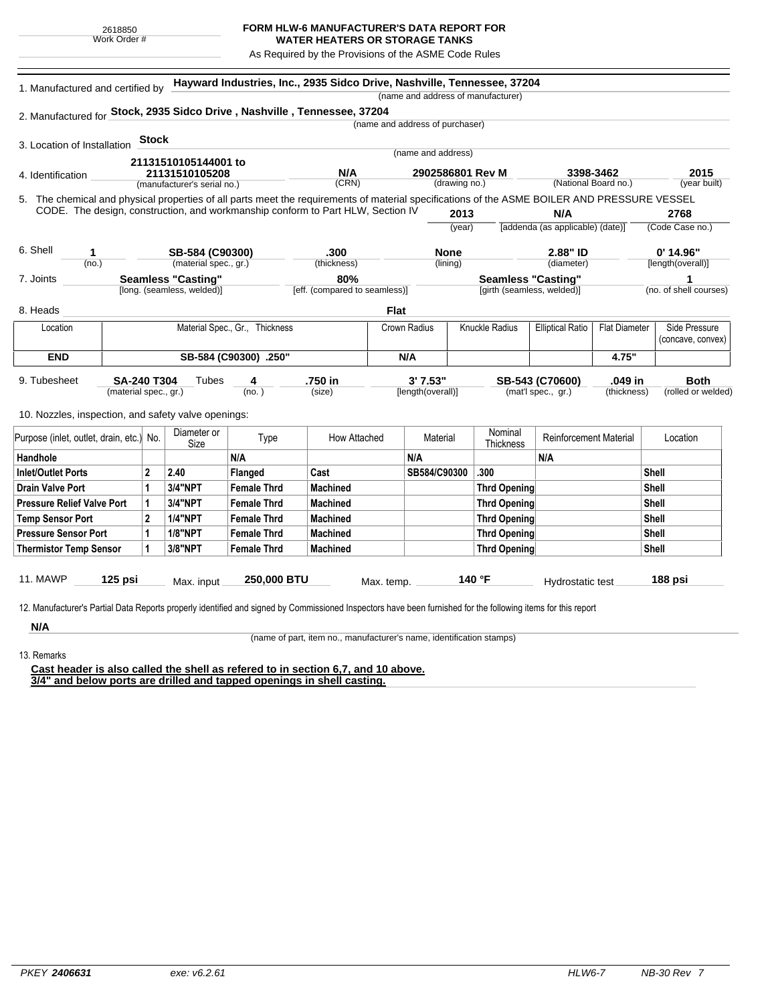## **FORM HLW-6 MANUFACTURER'S DATA REPORT FOR**

**WATER HEATERS OR STORAGE TANKS** As Required by the Provisions of the ASME Code Rules

|                                                                                                                                              | 1. Manufactured and certified by                                                |                                |                             |                    | Hayward Industries, Inc., 2935 Sidco Drive, Nashville, Tennessee, 37204 |             |                                   |        | (name and address of manufacturer) |                                                 |             |                         |                             |  |
|----------------------------------------------------------------------------------------------------------------------------------------------|---------------------------------------------------------------------------------|--------------------------------|-----------------------------|--------------------|-------------------------------------------------------------------------|-------------|-----------------------------------|--------|------------------------------------|-------------------------------------------------|-------------|-------------------------|-----------------------------|--|
| 2. Manufactured for Stock, 2935 Sidco Drive, Nashville, Tennessee, 37204                                                                     |                                                                                 |                                |                             |                    |                                                                         |             |                                   |        |                                    |                                                 |             |                         |                             |  |
|                                                                                                                                              |                                                                                 |                                |                             |                    |                                                                         |             | (name and address of purchaser)   |        |                                    |                                                 |             |                         |                             |  |
| 3. Location of Installation                                                                                                                  |                                                                                 | <b>Stock</b>                   |                             |                    |                                                                         |             |                                   |        |                                    |                                                 |             |                         |                             |  |
|                                                                                                                                              | 21131510105144001 to                                                            |                                |                             |                    | (name and address)                                                      |             |                                   |        |                                    |                                                 |             |                         |                             |  |
| 4. Identification                                                                                                                            |                                                                                 | 21131510105208                 |                             |                    | N/A                                                                     |             | 2902586801 Rev M<br>(drawing no.) |        |                                    | 3398-3462<br>(National Board no.)               |             | 2015                    |                             |  |
|                                                                                                                                              |                                                                                 |                                | (manufacturer's serial no.) |                    | (CRN)                                                                   |             |                                   |        |                                    |                                                 |             |                         | (year built)                |  |
| 5. The chemical and physical properties of all parts meet the requirements of material specifications of the ASME BOILER AND PRESSURE VESSEL |                                                                                 |                                |                             |                    |                                                                         |             |                                   | 2013   |                                    | N/A                                             |             |                         |                             |  |
|                                                                                                                                              | CODE. The design, construction, and workmanship conform to Part HLW, Section IV |                                |                             |                    |                                                                         |             |                                   |        |                                    | [addenda (as applicable) (date)]                |             | 2768<br>(Code Case no.) |                             |  |
|                                                                                                                                              |                                                                                 |                                |                             |                    |                                                                         |             |                                   | (year) |                                    |                                                 |             |                         |                             |  |
| 6. Shell<br>1                                                                                                                                |                                                                                 | SB-584 (C90300)                |                             |                    | .300                                                                    |             | <b>None</b>                       |        | 2.88" ID                           |                                                 |             |                         | 0' 14.96"                   |  |
| (no.)                                                                                                                                        |                                                                                 |                                | (material spec., gr.)       |                    | (thickness)                                                             |             | (lining)                          |        |                                    | (diameter)                                      |             | [length(overall)]       |                             |  |
| 7. Joints                                                                                                                                    | <b>Seamless "Casting"</b>                                                       |                                |                             |                    | 80%                                                                     |             |                                   |        |                                    | <b>Seamless "Casting"</b>                       |             |                         | 1<br>(no. of shell courses) |  |
|                                                                                                                                              |                                                                                 |                                | [long. (seamless, welded)]  |                    | [eff. (compared to seamless)]                                           |             |                                   |        | [girth (seamless, welded)]         |                                                 |             |                         |                             |  |
| 8. Heads                                                                                                                                     |                                                                                 |                                |                             |                    |                                                                         | <b>Flat</b> |                                   |        |                                    |                                                 |             |                         |                             |  |
| Location                                                                                                                                     |                                                                                 | Material Spec., Gr., Thickness |                             |                    |                                                                         |             | Crown Radius                      |        | <b>Knuckle Radius</b>              | <b>Elliptical Ratio</b><br><b>Flat Diameter</b> |             |                         | Side Pressure               |  |
|                                                                                                                                              |                                                                                 |                                |                             |                    |                                                                         |             |                                   |        |                                    |                                                 |             |                         | (concave, convex)           |  |
| <b>END</b><br>SB-584 (C90300) .250"                                                                                                          |                                                                                 |                                |                             |                    | N/A                                                                     |             |                                   |        | 4.75"                              |                                                 |             |                         |                             |  |
| 9. Tubesheet                                                                                                                                 | <b>SA-240 T304</b>                                                              |                                | Tubes                       | 4                  | .750 in                                                                 |             | 3' 7.53"                          |        |                                    | SB-543 (C70600)                                 | .049 in     |                         | <b>Both</b>                 |  |
|                                                                                                                                              | (material spec., gr.)                                                           |                                |                             | (no.)              | (size)                                                                  |             | [length(overall)]                 |        |                                    | (mat'l spec., gr.)                              | (thickness) |                         | (rolled or welded)          |  |
| 10. Nozzles, inspection, and safety valve openings:                                                                                          |                                                                                 |                                |                             |                    |                                                                         |             |                                   |        |                                    |                                                 |             |                         |                             |  |
|                                                                                                                                              |                                                                                 |                                | Diameter or                 |                    |                                                                         |             |                                   |        | Nominal                            |                                                 |             |                         |                             |  |
| Purpose (inlet, outlet, drain, etc.) No.                                                                                                     |                                                                                 |                                | Size                        | Type               | <b>How Attached</b>                                                     |             | Material                          |        | Thickness                          | <b>Reinforcement Material</b>                   |             |                         | Location                    |  |
| Handhole                                                                                                                                     |                                                                                 |                                |                             | N/A                |                                                                         |             | N/A                               |        |                                    | N/A                                             |             |                         |                             |  |
| <b>Inlet/Outlet Ports</b>                                                                                                                    |                                                                                 | $\mathbf 2$                    | 2.40                        | Flanged            | Cast                                                                    |             | SB584/C90300                      |        | .300                               |                                                 |             | Shell                   |                             |  |
| <b>Drain Valve Port</b>                                                                                                                      |                                                                                 | 1                              | 3/4"NPT                     | <b>Female Thrd</b> | <b>Machined</b>                                                         |             |                                   |        | <b>Thrd Opening</b>                |                                                 | Shell       |                         |                             |  |
| <b>Pressure Relief Valve Port</b>                                                                                                            |                                                                                 | 1                              | <b>3/4"NPT</b>              | <b>Female Thrd</b> | <b>Machined</b>                                                         |             |                                   |        | <b>Thrd Opening</b>                |                                                 |             | Shell                   |                             |  |
| <b>Temp Sensor Port</b>                                                                                                                      |                                                                                 | $\mathbf{2}$                   | <b>1/4"NPT</b>              | <b>Female Thrd</b> | <b>Machined</b>                                                         |             |                                   |        | <b>Thrd Opening</b>                |                                                 |             | <b>Shell</b>            |                             |  |
| <b>Pressure Sensor Port</b>                                                                                                                  |                                                                                 | 1                              | <b>1/8"NPT</b>              | <b>Female Thrd</b> | <b>Machined</b>                                                         |             |                                   |        | <b>Thrd Opening</b>                |                                                 |             | <b>Shell</b>            |                             |  |
| <b>Thermistor Temp Sensor</b>                                                                                                                |                                                                                 | 1                              | 3/8"NPT                     | <b>Female Thrd</b> | <b>Machined</b>                                                         |             |                                   |        | <b>Thrd Opening</b>                |                                                 |             | Shell                   |                             |  |
|                                                                                                                                              |                                                                                 |                                |                             |                    |                                                                         |             |                                   |        |                                    |                                                 |             |                         |                             |  |

13. Remarks

**N/A**

(name of part, item no., manufacturer's name, identification stamps)

**Cast header is also called the shell as refered to in section 6,7, and 10 above. 3/4" and below ports are drilled and tapped openings in shell casting.**